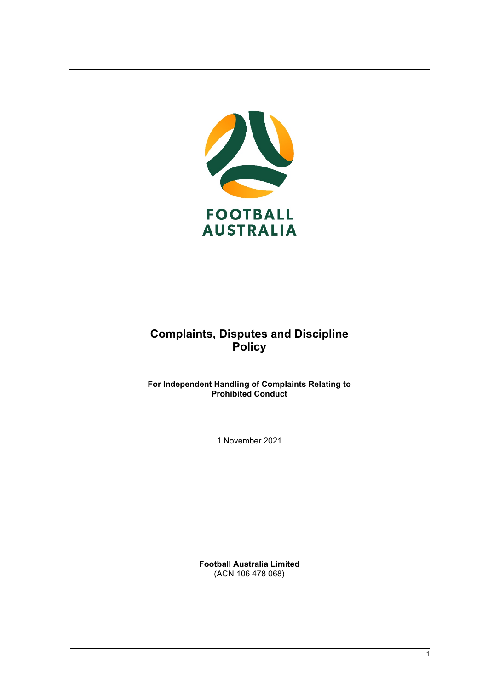

# **Complaints, Disputes and Discipline Policy**

**For Independent Handling of Complaints Relating to Prohibited Conduct** 

1 November 2021

**Football Australia Limited** (ACN 106 478 068)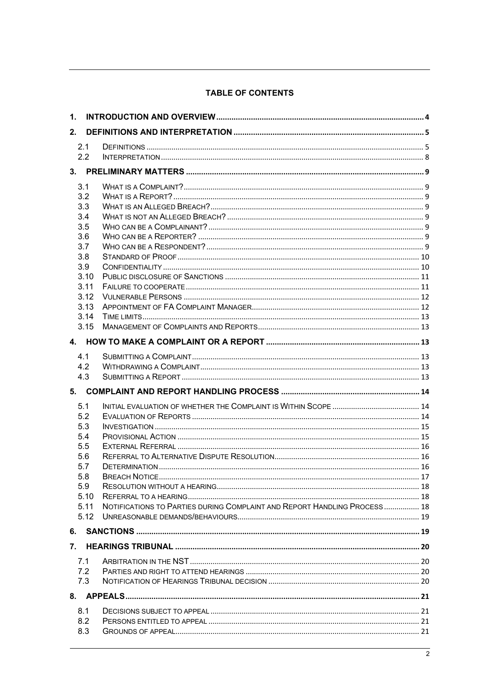## **TABLE OF CONTENTS**

| $\mathbf 1$ . |      |                                                                          |  |  |  |  |
|---------------|------|--------------------------------------------------------------------------|--|--|--|--|
| 2.            |      |                                                                          |  |  |  |  |
| 2.1           |      |                                                                          |  |  |  |  |
| 2.2           |      |                                                                          |  |  |  |  |
|               |      |                                                                          |  |  |  |  |
| 3.1           |      |                                                                          |  |  |  |  |
| 3.2           |      |                                                                          |  |  |  |  |
| 3.3           |      |                                                                          |  |  |  |  |
| 3.4           |      |                                                                          |  |  |  |  |
| 3.5           |      |                                                                          |  |  |  |  |
| 3.6           |      |                                                                          |  |  |  |  |
| 3.7           |      |                                                                          |  |  |  |  |
| 3.8           |      |                                                                          |  |  |  |  |
| 3.9           |      |                                                                          |  |  |  |  |
|               | 3.10 |                                                                          |  |  |  |  |
| 3.11          |      |                                                                          |  |  |  |  |
|               | 3.12 |                                                                          |  |  |  |  |
| 3.14          | 3.13 |                                                                          |  |  |  |  |
|               |      |                                                                          |  |  |  |  |
|               | 3.15 |                                                                          |  |  |  |  |
|               |      |                                                                          |  |  |  |  |
| 4.1           |      |                                                                          |  |  |  |  |
| 4.2           |      |                                                                          |  |  |  |  |
| 4.3           |      |                                                                          |  |  |  |  |
|               |      |                                                                          |  |  |  |  |
| 5.1           |      |                                                                          |  |  |  |  |
| 5.2           |      |                                                                          |  |  |  |  |
| 5.3           |      |                                                                          |  |  |  |  |
| 5.4           |      |                                                                          |  |  |  |  |
| 5.5           |      |                                                                          |  |  |  |  |
| 5.6           |      |                                                                          |  |  |  |  |
| 5.7<br>5.8    |      | BREACH NOTICE<br>$\sim$ 17                                               |  |  |  |  |
| 5.9           |      |                                                                          |  |  |  |  |
|               | 5.10 |                                                                          |  |  |  |  |
|               | 5.11 | NOTIFICATIONS TO PARTIES DURING COMPLAINT AND REPORT HANDLING PROCESS 18 |  |  |  |  |
|               | 5.12 |                                                                          |  |  |  |  |
|               |      |                                                                          |  |  |  |  |
|               |      |                                                                          |  |  |  |  |
|               |      |                                                                          |  |  |  |  |
| 7.1           |      |                                                                          |  |  |  |  |
| 7.2           |      |                                                                          |  |  |  |  |
| 7.3           |      |                                                                          |  |  |  |  |
|               |      |                                                                          |  |  |  |  |
| 8.1           |      |                                                                          |  |  |  |  |
| 8.2           |      |                                                                          |  |  |  |  |
| 8.3           |      |                                                                          |  |  |  |  |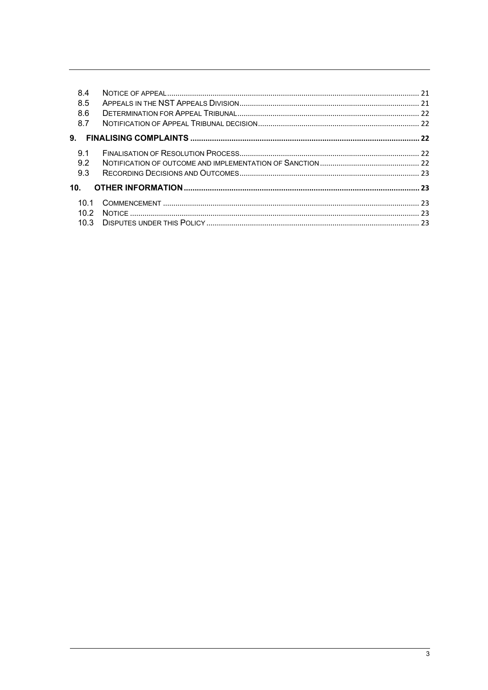| 8.4<br>8.5<br>8.6<br>8.7 |  |
|--------------------------|--|
|                          |  |
| 9.1                      |  |
| 9.2                      |  |
| 9.3                      |  |
| 10 <sub>1</sub>          |  |
| 10.1                     |  |
|                          |  |
|                          |  |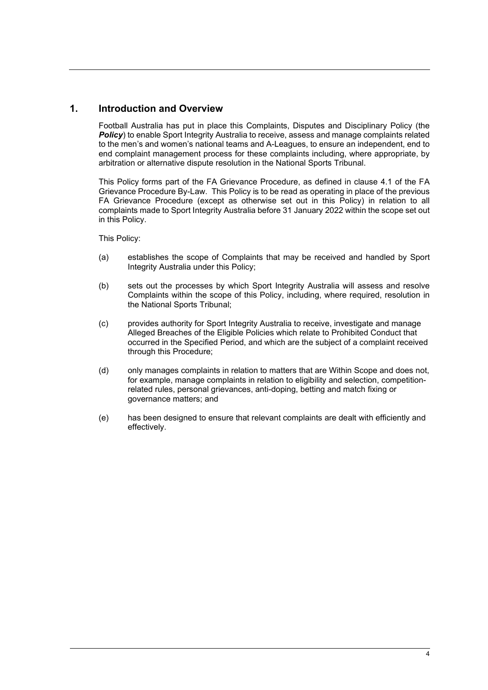## **1. Introduction and Overview**

Football Australia has put in place this Complaints, Disputes and Disciplinary Policy (the **Policy**) to enable Sport Integrity Australia to receive, assess and manage complaints related to the men's and women's national teams and A-Leagues, to ensure an independent, end to end complaint management process for these complaints including, where appropriate, by arbitration or alternative dispute resolution in the National Sports Tribunal.

This Policy forms part of the FA Grievance Procedure, as defined in clause 4.1 of the FA Grievance Procedure By-Law. This Policy is to be read as operating in place of the previous FA Grievance Procedure (except as otherwise set out in this Policy) in relation to all complaints made to Sport Integrity Australia before 31 January 2022 within the scope set out in this Policy.

This Policy:

- (a) establishes the scope of Complaints that may be received and handled by Sport Integrity Australia under this Policy;
- (b) sets out the processes by which Sport Integrity Australia will assess and resolve Complaints within the scope of this Policy, including, where required, resolution in the National Sports Tribunal;
- (c) provides authority for Sport Integrity Australia to receive, investigate and manage Alleged Breaches of the Eligible Policies which relate to Prohibited Conduct that occurred in the Specified Period, and which are the subject of a complaint received through this Procedure;
- (d) only manages complaints in relation to matters that are Within Scope and does not, for example, manage complaints in relation to eligibility and selection, competitionrelated rules, personal grievances, anti-doping, betting and match fixing or governance matters; and
- (e) has been designed to ensure that relevant complaints are dealt with efficiently and effectively.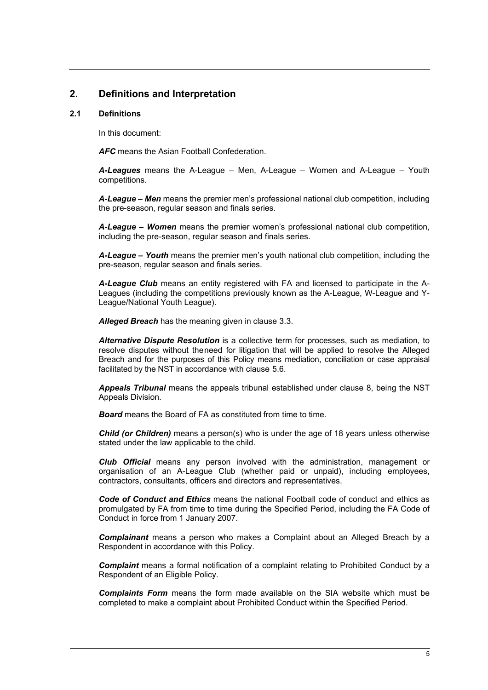## **2. Definitions and Interpretation**

#### **2.1 Definitions**

In this document:

*AFC* means the Asian Football Confederation.

*A-Leagues* means the A-League – Men, A-League – Women and A-League – Youth competitions.

*A-League – Men* means the premier men's professional national club competition, including the pre-season, regular season and finals series.

*A-League – Women* means the premier women's professional national club competition, including the pre-season, regular season and finals series.

*A-League – Youth* means the premier men's youth national club competition, including the pre-season, regular season and finals series.

*A-League Club* means an entity registered with FA and licensed to participate in the A-Leagues (including the competitions previously known as the A-League, W-League and Y-League/National Youth League).

*Alleged Breach* has the meaning given in clause 3.3.

*Alternative Dispute Resolution* is a collective term for processes, such as mediation, to resolve disputes without theneed for litigation that will be applied to resolve the Alleged Breach and for the purposes of this Policy means mediation, conciliation or case appraisal facilitated by the NST in accordance with clause 5.6.

*Appeals Tribunal* means the appeals tribunal established under clause 8, being the NST Appeals Division.

**Board** means the Board of FA as constituted from time to time.

*Child (or Children)* means a person(s) who is under the age of 18 years unless otherwise stated under the law applicable to the child.

*Club Official* means any person involved with the administration, management or organisation of an A-League Club (whether paid or unpaid), including employees, contractors, consultants, officers and directors and representatives.

*Code of Conduct and Ethics* means the national Football code of conduct and ethics as promulgated by FA from time to time during the Specified Period, including the FA Code of Conduct in force from 1 January 2007.

*Complainant* means a person who makes a Complaint about an Alleged Breach by a Respondent in accordance with this Policy.

*Complaint* means a formal notification of a complaint relating to Prohibited Conduct by a Respondent of an Eligible Policy.

*Complaints Form* means the form made available on the SIA website which must be completed to make a complaint about Prohibited Conduct within the Specified Period.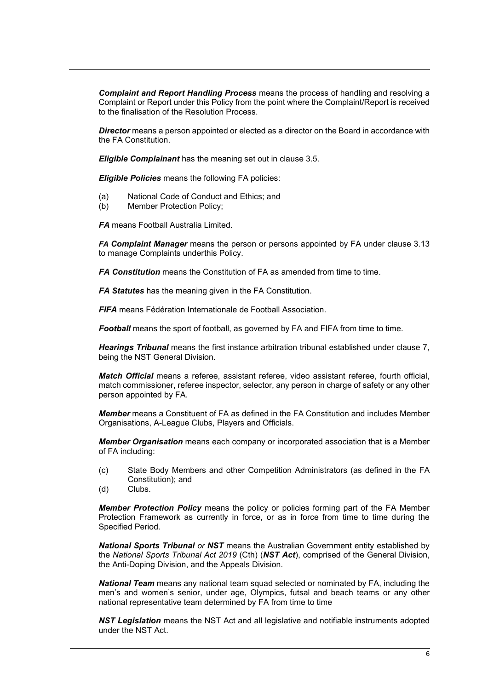*Complaint and Report Handling Process* means the process of handling and resolving a Complaint or Report under this Policy from the point where the Complaint/Report is received to the finalisation of the Resolution Process.

*Director* means a person appointed or elected as a director on the Board in accordance with the FA Constitution.

*Eligible Complainant* has the meaning set out in clause 3.5.

*Eligible Policies* means the following FA policies:

- (a) National Code of Conduct and Ethics; and<br>(b) Member Protection Policy;
- Member Protection Policy;

**FA** means Football Australia Limited.

*FA Complaint Manager* means the person or persons appointed by FA under clause 3.13 to manage Complaints underthis Policy.

**FA Constitution** means the Constitution of FA as amended from time to time.

**FA Statutes** has the meaning given in the FA Constitution.

*FIFA* means Fédération Internationale de Football Association.

**Football** means the sport of football, as governed by FA and FIFA from time to time.

*Hearings Tribunal* means the first instance arbitration tribunal established under clause 7, being the NST General Division.

*Match Official* means a referee, assistant referee, video assistant referee, fourth official, match commissioner, referee inspector, selector, any person in charge of safety or any other person appointed by FA.

*Member* means a Constituent of FA as defined in the FA Constitution and includes Member Organisations, A-League Clubs, Players and Officials.

*Member Organisation* means each company or incorporated association that is a Member of FA including:

- (c) State Body Members and other Competition Administrators (as defined in the FA Constitution); and
- (d) Clubs.

*Member Protection Policy* means the policy or policies forming part of the FA Member Protection Framework as currently in force, or as in force from time to time during the Specified Period.

*National Sports Tribunal or NST* means the Australian Government entity established by the *National Sports Tribunal Act 2019* (Cth) (*NST Act*), comprised of the General Division, the Anti-Doping Division, and the Appeals Division.

*National Team* means any national team squad selected or nominated by FA, including the men's and women's senior, under age, Olympics, futsal and beach teams or any other national representative team determined by FA from time to time

*NST Legislation* means the NST Act and all legislative and notifiable instruments adopted under the NST Act.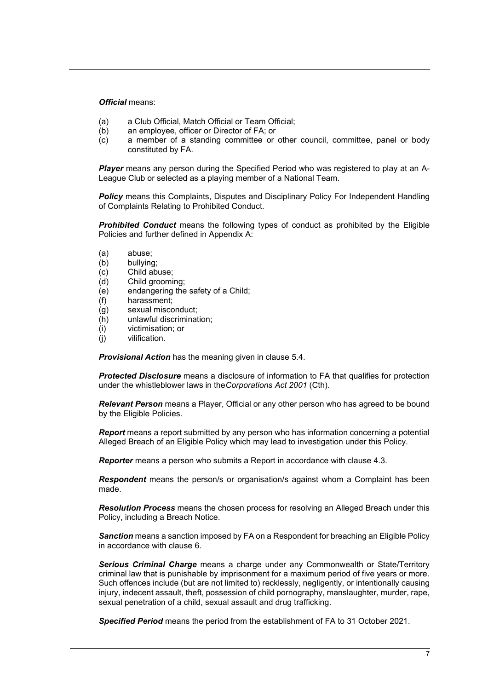*Official* means:

- (a) a Club Official, Match Official or Team Official;
- (b) an employee, officer or Director of FA; or
- (c) a member of a standing committee or other council, committee, panel or body constituted by FA.

*Player* means any person during the Specified Period who was registered to play at an A-League Club or selected as a playing member of a National Team.

**Policy** means this Complaints, Disputes and Disciplinary Policy For Independent Handling of Complaints Relating to Prohibited Conduct.

*Prohibited Conduct* means the following types of conduct as prohibited by the Eligible Policies and further defined in Appendix A:

- (a) abuse;
- $(b)$  bullying;
- (c) Child abuse;
- (d) Child grooming;
- (e) endangering the safety of a Child;
- (f) harassment;
- (g) sexual misconduct;
- (h) unlawful discrimination;
- (i) victimisation; or
- (j) vilification.

*Provisional Action* has the meaning given in clause 5.4.

*Protected Disclosure* means a disclosure of information to FA that qualifies for protection under the whistleblower laws in the*Corporations Act 2001* (Cth).

*Relevant Person* means a Player, Official or any other person who has agreed to be bound by the Eligible Policies.

*Report* means a report submitted by any person who has information concerning a potential Alleged Breach of an Eligible Policy which may lead to investigation under this Policy.

*Reporter* means a person who submits a Report in accordance with clause 4.3.

*Respondent* means the person/s or organisation/s against whom a Complaint has been made.

*Resolution Process* means the chosen process for resolving an Alleged Breach under this Policy, including a Breach Notice.

*Sanction* means a sanction imposed by FA on a Respondent for breaching an Eligible Policy in accordance with clause 6.

*Serious Criminal Charge* means a charge under any Commonwealth or State/Territory criminal law that is punishable by imprisonment for a maximum period of five years or more. Such offences include (but are not limited to) recklessly, negligently, or intentionally causing injury, indecent assault, theft, possession of child pornography, manslaughter, murder, rape, sexual penetration of a child, sexual assault and drug trafficking.

*Specified Period* means the period from the establishment of FA to 31 October 2021.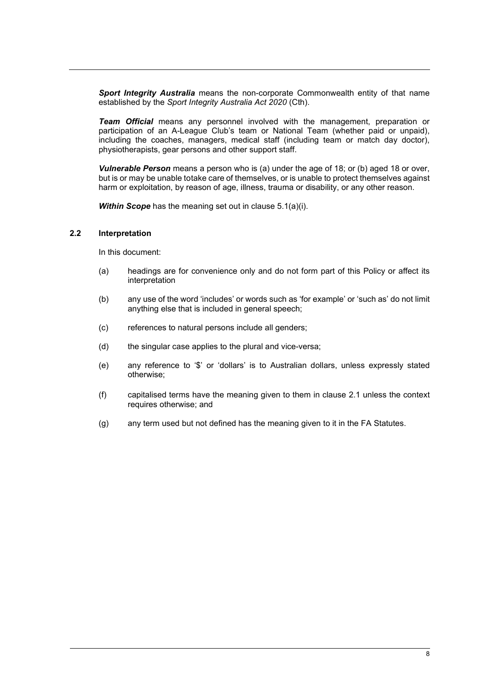*Sport Integrity Australia* means the non-corporate Commonwealth entity of that name established by the *Sport Integrity Australia Act 2020* (Cth).

*Team Official* means any personnel involved with the management, preparation or participation of an A-League Club's team or National Team (whether paid or unpaid), including the coaches, managers, medical staff (including team or match day doctor), physiotherapists, gear persons and other support staff.

*Vulnerable Person* means a person who is (a) under the age of 18; or (b) aged 18 or over, but is or may be unable totake care of themselves, or is unable to protect themselves against harm or exploitation, by reason of age, illness, trauma or disability, or any other reason.

*Within Scope* has the meaning set out in clause 5.1(a)(i).

#### **2.2 Interpretation**

In this document:

- (a) headings are for convenience only and do not form part of this Policy or affect its interpretation
- (b) any use of the word 'includes' or words such as 'for example' or 'such as' do not limit anything else that is included in general speech;
- (c) references to natural persons include all genders;
- (d) the singular case applies to the plural and vice-versa;
- (e) any reference to '\$' or 'dollars' is to Australian dollars, unless expressly stated otherwise;
- (f) capitalised terms have the meaning given to them in clause 2.1 unless the context requires otherwise; and
- (g) any term used but not defined has the meaning given to it in the FA Statutes.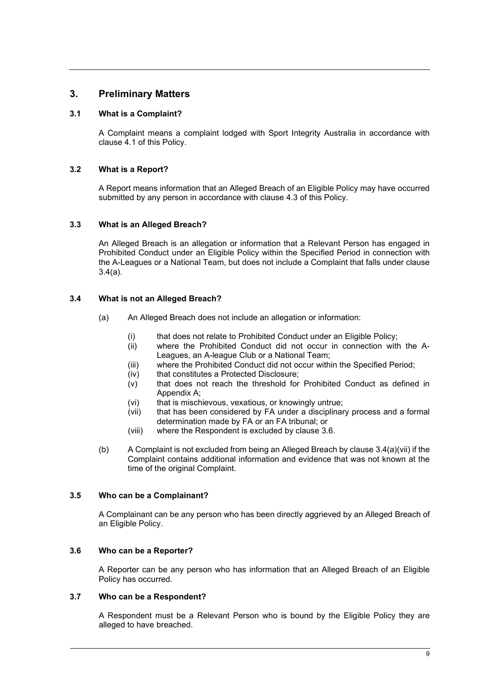## **3. Preliminary Matters**

#### **3.1 What is a Complaint?**

A Complaint means a complaint lodged with Sport Integrity Australia in accordance with clause 4.1 of this Policy.

#### **3.2 What is a Report?**

A Report means information that an Alleged Breach of an Eligible Policy may have occurred submitted by any person in accordance with clause 4.3 of this Policy.

#### **3.3 What is an Alleged Breach?**

An Alleged Breach is an allegation or information that a Relevant Person has engaged in Prohibited Conduct under an Eligible Policy within the Specified Period in connection with the A-Leagues or a National Team, but does not include a Complaint that falls under clause 3.4(a).

#### **3.4 What is not an Alleged Breach?**

- (a) An Alleged Breach does not include an allegation or information:
	- (i) that does not relate to Prohibited Conduct under an Eligible Policy;
	- (ii) where the Prohibited Conduct did not occur in connection with the A-Leagues, an A-league Club or a National Team;
	- (iii) where the Prohibited Conduct did not occur within the Specified Period;
	- (iv) that constitutes a Protected Disclosure;
	- $(v)$  that does not reach the threshold for Prohibited Conduct as defined in Appendix A;
	- (vi) that is mischievous, vexatious, or knowingly untrue;
	- (vii) that has been considered by FA under a disciplinary process and a formal determination made by FA or an FA tribunal; or
	- (viii) where the Respondent is excluded by clause 3.6.
- (b) A Complaint is not excluded from being an Alleged Breach by clause 3.4(a)(vii) if the Complaint contains additional information and evidence that was not known at the time of the original Complaint.

#### **3.5 Who can be a Complainant?**

A Complainant can be any person who has been directly aggrieved by an Alleged Breach of an Eligible Policy.

#### **3.6 Who can be a Reporter?**

A Reporter can be any person who has information that an Alleged Breach of an Eligible Policy has occurred.

## **3.7 Who can be a Respondent?**

A Respondent must be a Relevant Person who is bound by the Eligible Policy they are alleged to have breached.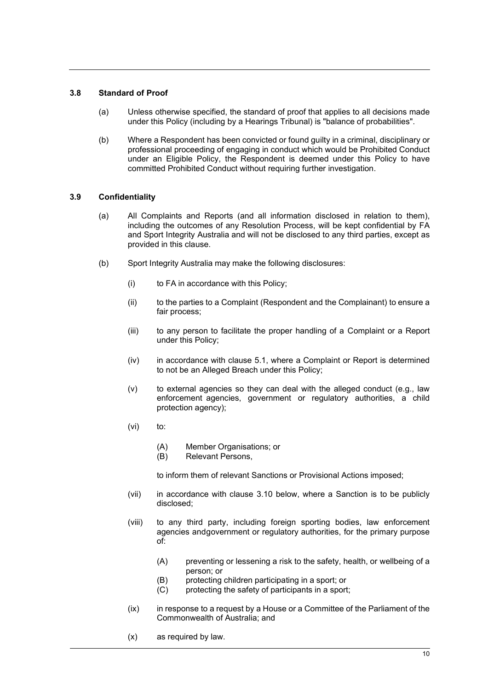#### **3.8 Standard of Proof**

- (a) Unless otherwise specified, the standard of proof that applies to all decisions made under this Policy (including by a Hearings Tribunal) is "balance of probabilities".
- (b) Where a Respondent has been convicted or found guilty in a criminal, disciplinary or professional proceeding of engaging in conduct which would be Prohibited Conduct under an Eligible Policy, the Respondent is deemed under this Policy to have committed Prohibited Conduct without requiring further investigation.

#### **3.9 Confidentiality**

- (a) All Complaints and Reports (and all information disclosed in relation to them), including the outcomes of any Resolution Process, will be kept confidential by FA and Sport Integrity Australia and will not be disclosed to any third parties, except as provided in this clause.
- (b) Sport Integrity Australia may make the following disclosures:
	- (i) to FA in accordance with this Policy;
	- (ii) to the parties to a Complaint (Respondent and the Complainant) to ensure a fair process;
	- (iii) to any person to facilitate the proper handling of a Complaint or a Report under this Policy;
	- (iv) in accordance with clause 5.1, where a Complaint or Report is determined to not be an Alleged Breach under this Policy;
	- $(v)$  to external agencies so they can deal with the alleged conduct (e.g., law enforcement agencies, government or regulatory authorities, a child protection agency);
	- (vi) to:
		- (A) Member Organisations; or<br>(B) Relevant Persons.
		- Relevant Persons,

to inform them of relevant Sanctions or Provisional Actions imposed;

- (vii) in accordance with clause 3.10 below, where a Sanction is to be publicly disclosed;
- (viii) to any third party, including foreign sporting bodies, law enforcement agencies andgovernment or regulatory authorities, for the primary purpose of:
	- (A) preventing or lessening a risk to the safety, health, or wellbeing of a person; or
	- (B) protecting children participating in a sport; or
	- (C) protecting the safety of participants in a sport;
- (ix) in response to a request by a House or a Committee of the Parliament of the Commonwealth of Australia; and
- (x) as required by law.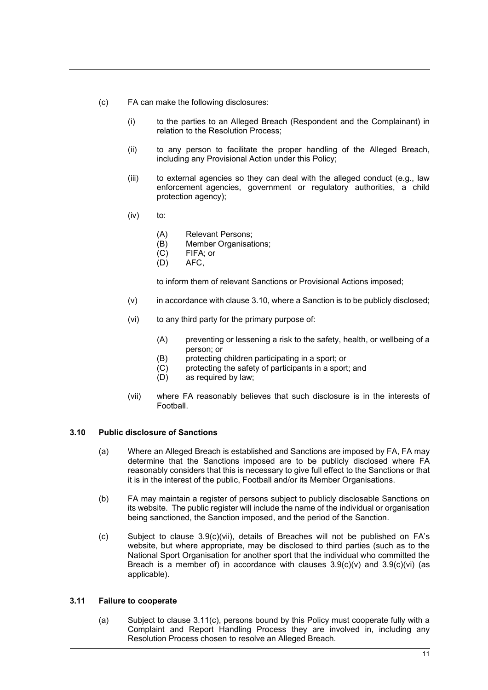- (c) FA can make the following disclosures:
	- (i) to the parties to an Alleged Breach (Respondent and the Complainant) in relation to the Resolution Process;
	- (ii) to any person to facilitate the proper handling of the Alleged Breach, including any Provisional Action under this Policy;
	- (iii) to external agencies so they can deal with the alleged conduct (e.g., law enforcement agencies, government or regulatory authorities, a child protection agency);
	- (iv) to:
		- (A) Relevant Persons;
		- (B) Member Organisations;
		- (C) FIFA; or
		- (D) AFC,

to inform them of relevant Sanctions or Provisional Actions imposed;

- $(v)$  in accordance with clause 3.10, where a Sanction is to be publicly disclosed;
- (vi) to any third party for the primary purpose of:
	- (A) preventing or lessening a risk to the safety, health, or wellbeing of a person; or
	- (B) protecting children participating in a sport; or
	- (C) protecting the safety of participants in a sport; and
	- (D) as required by law;
- (vii) where FA reasonably believes that such disclosure is in the interests of Football.

#### **3.10 Public disclosure of Sanctions**

- (a) Where an Alleged Breach is established and Sanctions are imposed by FA, FA may determine that the Sanctions imposed are to be publicly disclosed where FA reasonably considers that this is necessary to give full effect to the Sanctions or that it is in the interest of the public, Football and/or its Member Organisations.
- (b) FA may maintain a register of persons subject to publicly disclosable Sanctions on its website. The public register will include the name of the individual or organisation being sanctioned, the Sanction imposed, and the period of the Sanction.
- (c) Subject to clause 3.9(c)(vii), details of Breaches will not be published on FA's website, but where appropriate, may be disclosed to third parties (such as to the National Sport Organisation for another sport that the individual who committed the Breach is a member of) in accordance with clauses  $3.9(c)(v)$  and  $3.9(c)(vi)$  (as applicable).

#### **3.11 Failure to cooperate**

(a) Subject to clause 3.11(c), persons bound by this Policy must cooperate fully with a Complaint and Report Handling Process they are involved in, including any Resolution Process chosen to resolve an Alleged Breach.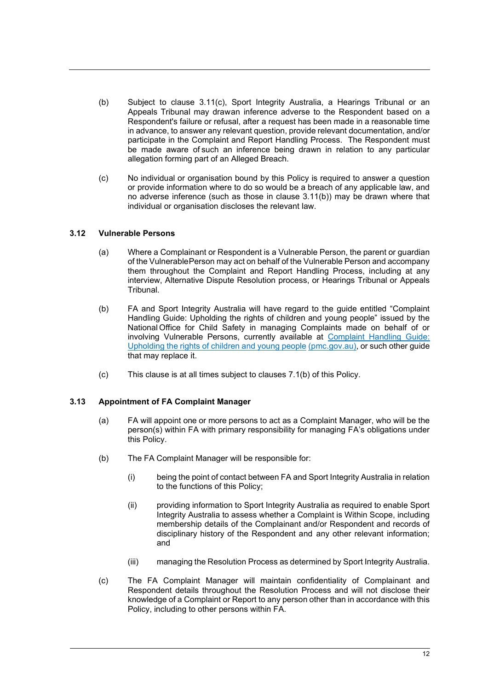- (b) Subject to clause 3.11(c), Sport Integrity Australia, a Hearings Tribunal or an Appeals Tribunal may drawan inference adverse to the Respondent based on a Respondent's failure or refusal, after a request has been made in a reasonable time in advance, to answer any relevant question, provide relevant documentation, and/or participate in the Complaint and Report Handling Process. The Respondent must be made aware of such an inference being drawn in relation to any particular allegation forming part of an Alleged Breach.
- (c) No individual or organisation bound by this Policy is required to answer a question or provide information where to do so would be a breach of any applicable law, and no adverse inference (such as those in clause 3.11(b)) may be drawn where that individual or organisation discloses the relevant law.

#### **3.12 Vulnerable Persons**

- (a) Where a Complainant or Respondent is a Vulnerable Person, the parent or guardian of the VulnerablePerson may act on behalf of the Vulnerable Person and accompany them throughout the Complaint and Report Handling Process, including at any interview, Alternative Dispute Resolution process, or Hearings Tribunal or Appeals Tribunal.
- (b) FA and Sport Integrity Australia will have regard to the guide entitled "Complaint Handling Guide: Upholding the rights of children and young people" issued by the National Office for Child Safety in managing Complaints made on behalf of or involving Vulnerable Persons, currently available at [Complaint Handling Guide:](https://childsafety.pmc.gov.au/sites/default/files/2020-09/nocs-complaint-handling-guide.pdf)  [Upholding the rights of children and young people](https://childsafety.pmc.gov.au/sites/default/files/2020-09/nocs-complaint-handling-guide.pdf) [\(pmc.gov.au\),](https://childsafety.pmc.gov.au/sites/default/files/2020-09/nocs-complaint-handling-guide.pdf) or such other guide that may replace it.
- (c) This clause is at all times subject to clauses 7.1(b) of this Policy.

#### **3.13 Appointment of FA Complaint Manager**

- (a) FA will appoint one or more persons to act as a Complaint Manager, who will be the person(s) within FA with primary responsibility for managing FA's obligations under this Policy.
- (b) The FA Complaint Manager will be responsible for:
	- (i) being the point of contact between FA and Sport Integrity Australia in relation to the functions of this Policy;
	- (ii) providing information to Sport Integrity Australia as required to enable Sport Integrity Australia to assess whether a Complaint is Within Scope, including membership details of the Complainant and/or Respondent and records of disciplinary history of the Respondent and any other relevant information; and
	- (iii) managing the Resolution Process as determined by Sport Integrity Australia.
- (c) The FA Complaint Manager will maintain confidentiality of Complainant and Respondent details throughout the Resolution Process and will not disclose their knowledge of a Complaint or Report to any person other than in accordance with this Policy, including to other persons within FA.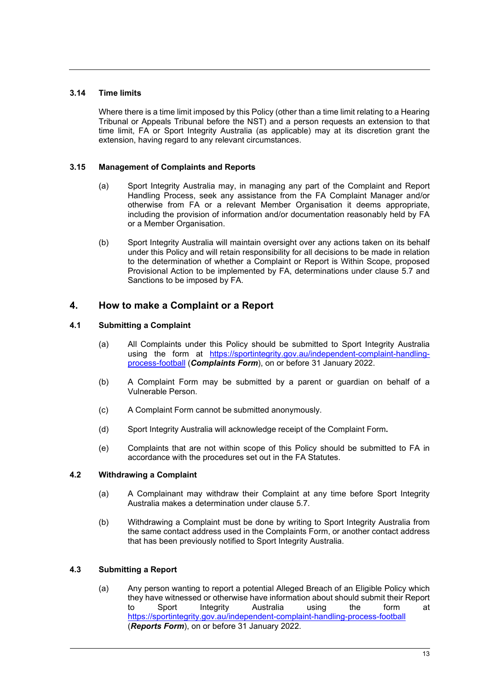#### **3.14 Time limits**

Where there is a time limit imposed by this Policy (other than a time limit relating to a Hearing Tribunal or Appeals Tribunal before the NST) and a person requests an extension to that time limit, FA or Sport Integrity Australia (as applicable) may at its discretion grant the extension, having regard to any relevant circumstances.

#### **3.15 Management of Complaints and Reports**

- (a) Sport Integrity Australia may, in managing any part of the Complaint and Report Handling Process, seek any assistance from the FA Complaint Manager and/or otherwise from FA or a relevant Member Organisation it deems appropriate, including the provision of information and/or documentation reasonably held by FA or a Member Organisation.
- (b) Sport Integrity Australia will maintain oversight over any actions taken on its behalf under this Policy and will retain responsibility for all decisions to be made in relation to the determination of whether a Complaint or Report is Within Scope, proposed Provisional Action to be implemented by FA, determinations under clause 5.7 and Sanctions to be imposed by FA.

## **4. How to make a Complaint or a Report**

#### **4.1 Submitting a Complaint**

- (a) All Complaints under this Policy should be submitted to Sport Integrity Australia using the form at [https://sportintegrity.gov.au/independent-complaint-handling](https://sportintegrity.gov.au/independent-complaint-handling-process-football)[process-football](https://sportintegrity.gov.au/independent-complaint-handling-process-football) (*Complaints Form*), on or before 31 January 2022.
- (b) A Complaint Form may be submitted by a parent or guardian on behalf of a Vulnerable Person.
- (c) A Complaint Form cannot be submitted anonymously.
- (d) Sport Integrity Australia will acknowledge receipt of the Complaint Form**.**
- (e) Complaints that are not within scope of this Policy should be submitted to FA in accordance with the procedures set out in the FA Statutes.

#### **4.2 Withdrawing a Complaint**

- (a) A Complainant may withdraw their Complaint at any time before Sport Integrity Australia makes a determination under clause 5.7.
- (b) Withdrawing a Complaint must be done by writing to Sport Integrity Australia from the same contact address used in the Complaints Form, or another contact address that has been previously notified to Sport Integrity Australia.

#### **4.3 Submitting a Report**

(a) Any person wanting to report a potential Alleged Breach of an Eligible Policy which they have witnessed or otherwise have information about should submit their Report to Sport Integrity Australia using the form at <https://sportintegrity.gov.au/independent-complaint-handling-process-football> (*Reports Form*), on or before 31 January 2022.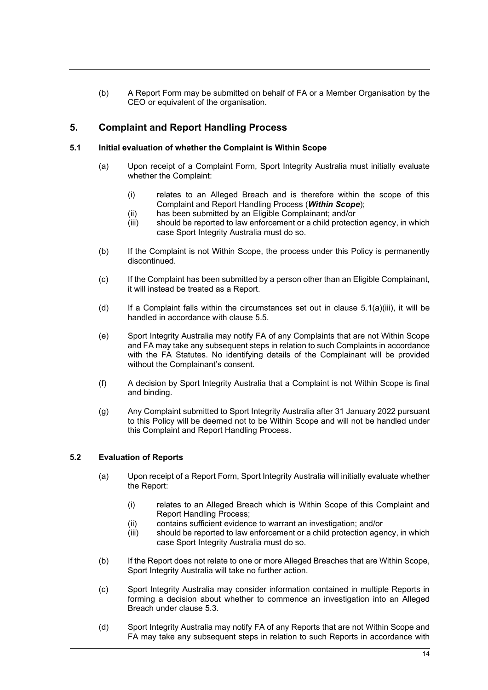(b) A Report Form may be submitted on behalf of FA or a Member Organisation by the CEO or equivalent of the organisation.

## **5. Complaint and Report Handling Process**

#### **5.1 Initial evaluation of whether the Complaint is Within Scope**

- (a) Upon receipt of a Complaint Form, Sport Integrity Australia must initially evaluate whether the Complaint:
	- (i) relates to an Alleged Breach and is therefore within the scope of this Complaint and Report Handling Process (*Within Scope*);
	- (ii) has been submitted by an Eligible Complainant; and/or
	- (iii) should be reported to law enforcement or a child protection agency, in which case Sport Integrity Australia must do so.
- (b) If the Complaint is not Within Scope, the process under this Policy is permanently discontinued.
- (c) If the Complaint has been submitted by a person other than an Eligible Complainant, it will instead be treated as a Report.
- (d) If a Complaint falls within the circumstances set out in clause  $5.1(a)(iii)$ , it will be handled in accordance with clause 5.5.
- (e) Sport Integrity Australia may notify FA of any Complaints that are not Within Scope and FA may take any subsequent steps in relation to such Complaints in accordance with the FA Statutes. No identifying details of the Complainant will be provided without the Complainant's consent.
- (f) A decision by Sport Integrity Australia that a Complaint is not Within Scope is final and binding.
- (g) Any Complaint submitted to Sport Integrity Australia after 31 January 2022 pursuant to this Policy will be deemed not to be Within Scope and will not be handled under this Complaint and Report Handling Process.

#### **5.2 Evaluation of Reports**

- (a) Upon receipt of a Report Form, Sport Integrity Australia will initially evaluate whether the Report:
	- (i) relates to an Alleged Breach which is Within Scope of this Complaint and Report Handling Process;
	- (ii) contains sufficient evidence to warrant an investigation; and/or
	- (iii) should be reported to law enforcement or a child protection agency, in which case Sport Integrity Australia must do so.
- (b) If the Report does not relate to one or more Alleged Breaches that are Within Scope, Sport Integrity Australia will take no further action.
- (c) Sport Integrity Australia may consider information contained in multiple Reports in forming a decision about whether to commence an investigation into an Alleged Breach under clause 5.3.
- (d) Sport Integrity Australia may notify FA of any Reports that are not Within Scope and FA may take any subsequent steps in relation to such Reports in accordance with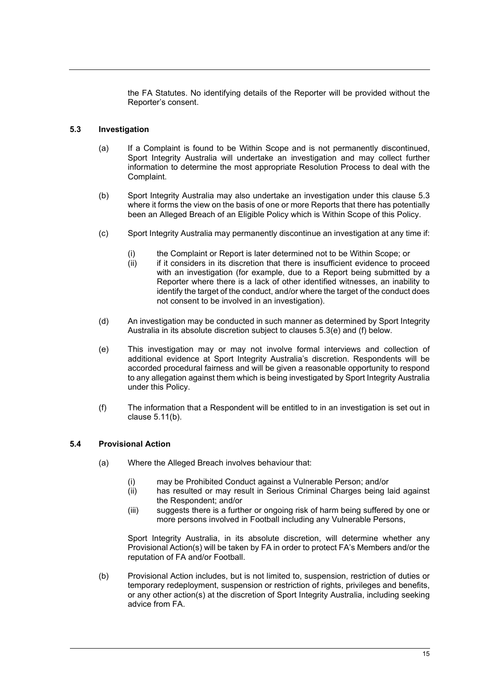the FA Statutes. No identifying details of the Reporter will be provided without the Reporter's consent.

#### **5.3 Investigation**

- (a) If a Complaint is found to be Within Scope and is not permanently discontinued, Sport Integrity Australia will undertake an investigation and may collect further information to determine the most appropriate Resolution Process to deal with the Complaint.
- (b) Sport Integrity Australia may also undertake an investigation under this clause 5.3 where it forms the view on the basis of one or more Reports that there has potentially been an Alleged Breach of an Eligible Policy which is Within Scope of this Policy.
- (c) Sport Integrity Australia may permanently discontinue an investigation at any time if:
	- (i) the Complaint or Report is later determined not to be Within Scope; or
	- (ii) if it considers in its discretion that there is insufficient evidence to proceed with an investigation (for example, due to a Report being submitted by a Reporter where there is a lack of other identified witnesses, an inability to identify the target of the conduct, and/or where the target of the conduct does not consent to be involved in an investigation).
- (d) An investigation may be conducted in such manner as determined by Sport Integrity Australia in its absolute discretion subject to clauses 5.3(e) and (f) below.
- (e) This investigation may or may not involve formal interviews and collection of additional evidence at Sport Integrity Australia's discretion. Respondents will be accorded procedural fairness and will be given a reasonable opportunity to respond to any allegation against them which is being investigated by Sport Integrity Australia under this Policy.
- (f) The information that a Respondent will be entitled to in an investigation is set out in clause 5.11(b).

#### **5.4 Provisional Action**

- (a) Where the Alleged Breach involves behaviour that:
	- (i) may be Prohibited Conduct against a Vulnerable Person; and/or
	- has resulted or may result in Serious Criminal Charges being laid against the Respondent; and/or
	- (iii) suggests there is a further or ongoing risk of harm being suffered by one or more persons involved in Football including any Vulnerable Persons,

Sport Integrity Australia, in its absolute discretion, will determine whether any Provisional Action(s) will be taken by FA in order to protect FA's Members and/or the reputation of FA and/or Football.

(b) Provisional Action includes, but is not limited to, suspension, restriction of duties or temporary redeployment, suspension or restriction of rights, privileges and benefits, or any other action(s) at the discretion of Sport Integrity Australia, including seeking advice from FA.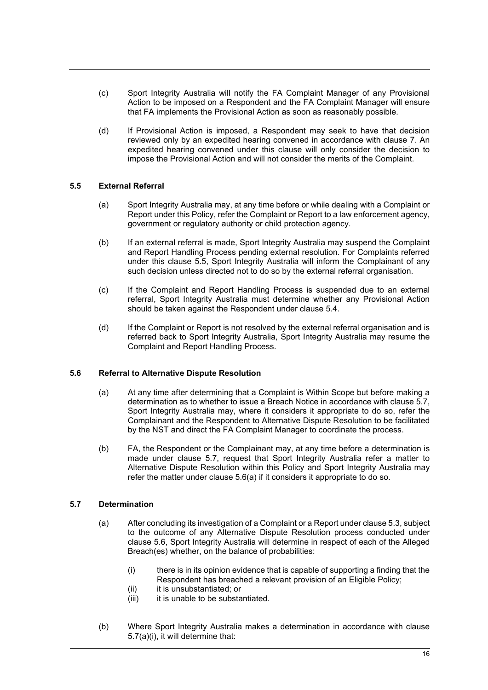- (c) Sport Integrity Australia will notify the FA Complaint Manager of any Provisional Action to be imposed on a Respondent and the FA Complaint Manager will ensure that FA implements the Provisional Action as soon as reasonably possible.
- (d) If Provisional Action is imposed, a Respondent may seek to have that decision reviewed only by an expedited hearing convened in accordance with clause 7. An expedited hearing convened under this clause will only consider the decision to impose the Provisional Action and will not consider the merits of the Complaint.

#### **5.5 External Referral**

- (a) Sport Integrity Australia may, at any time before or while dealing with a Complaint or Report under this Policy, refer the Complaint or Report to a law enforcement agency, government or regulatory authority or child protection agency.
- (b) If an external referral is made, Sport Integrity Australia may suspend the Complaint and Report Handling Process pending external resolution. For Complaints referred under this clause 5.5, Sport Integrity Australia will inform the Complainant of any such decision unless directed not to do so by the external referral organisation.
- (c) If the Complaint and Report Handling Process is suspended due to an external referral, Sport Integrity Australia must determine whether any Provisional Action should be taken against the Respondent under clause 5.4.
- (d) If the Complaint or Report is not resolved by the external referral organisation and is referred back to Sport Integrity Australia, Sport Integrity Australia may resume the Complaint and Report Handling Process.

#### **5.6 Referral to Alternative Dispute Resolution**

- (a) At any time after determining that a Complaint is Within Scope but before making a determination as to whether to issue a Breach Notice in accordance with clause 5.7, Sport Integrity Australia may, where it considers it appropriate to do so, refer the Complainant and the Respondent to Alternative Dispute Resolution to be facilitated by the NST and direct the FA Complaint Manager to coordinate the process.
- (b) FA, the Respondent or the Complainant may, at any time before a determination is made under clause 5.7, request that Sport Integrity Australia refer a matter to Alternative Dispute Resolution within this Policy and Sport Integrity Australia may refer the matter under clause 5.6(a) if it considers it appropriate to do so.

#### **5.7 Determination**

- (a) After concluding its investigation of a Complaint or a Report under clause 5.3, subject to the outcome of any Alternative Dispute Resolution process conducted under clause 5.6, Sport Integrity Australia will determine in respect of each of the Alleged Breach(es) whether, on the balance of probabilities:
	- (i) there is in its opinion evidence that is capable of supporting a finding that the Respondent has breached a relevant provision of an Eligible Policy;
	- (ii) it is unsubstantiated; or
	- $(iii)$  it is unable to be substantiated.
- (b) Where Sport Integrity Australia makes a determination in accordance with clause 5.7(a)(i), it will determine that: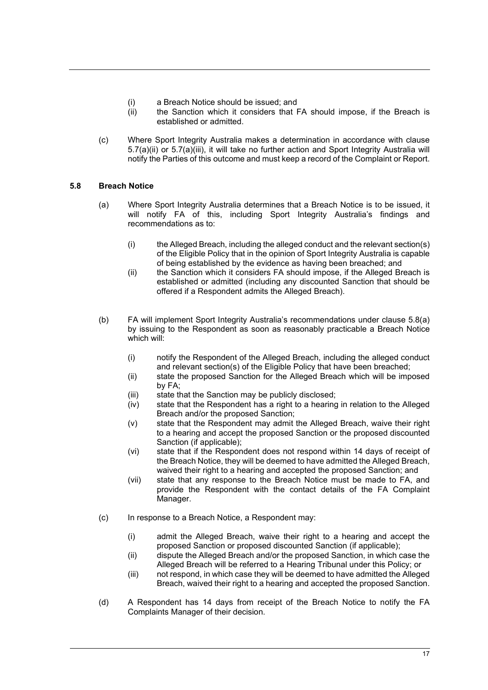- (i) a Breach Notice should be issued; and
- (ii) the Sanction which it considers that FA should impose, if the Breach is established or admitted.
- (c) Where Sport Integrity Australia makes a determination in accordance with clause 5.7(a)(ii) or 5.7(a)(iii), it will take no further action and Sport Integrity Australia will notify the Parties of this outcome and must keep a record of the Complaint or Report.

#### **5.8 Breach Notice**

- (a) Where Sport Integrity Australia determines that a Breach Notice is to be issued, it will notify FA of this, including Sport Integrity Australia's findings and recommendations as to:
	- (i) the Alleged Breach, including the alleged conduct and the relevant section(s) of the Eligible Policy that in the opinion of Sport Integrity Australia is capable of being established by the evidence as having been breached; and
	- (ii) the Sanction which it considers FA should impose, if the Alleged Breach is established or admitted (including any discounted Sanction that should be offered if a Respondent admits the Alleged Breach).
- (b) FA will implement Sport Integrity Australia's recommendations under clause 5.8(a) by issuing to the Respondent as soon as reasonably practicable a Breach Notice which will:
	- (i) notify the Respondent of the Alleged Breach, including the alleged conduct and relevant section(s) of the Eligible Policy that have been breached;
	- (ii) state the proposed Sanction for the Alleged Breach which will be imposed by FA;
	- (iii) state that the Sanction may be publicly disclosed;
	- (iv) state that the Respondent has a right to a hearing in relation to the Alleged Breach and/or the proposed Sanction;
	- (v) state that the Respondent may admit the Alleged Breach, waive their right to a hearing and accept the proposed Sanction or the proposed discounted Sanction (if applicable);
	- (vi) state that if the Respondent does not respond within 14 days of receipt of the Breach Notice, they will be deemed to have admitted the Alleged Breach, waived their right to a hearing and accepted the proposed Sanction; and
	- (vii) state that any response to the Breach Notice must be made to FA, and provide the Respondent with the contact details of the FA Complaint Manager.
- (c) In response to a Breach Notice, a Respondent may:
	- (i) admit the Alleged Breach, waive their right to a hearing and accept the proposed Sanction or proposed discounted Sanction (if applicable);
	- (ii) dispute the Alleged Breach and/or the proposed Sanction, in which case the Alleged Breach will be referred to a Hearing Tribunal under this Policy; or
	- (iii) not respond, in which case they will be deemed to have admitted the Alleged Breach, waived their right to a hearing and accepted the proposed Sanction.
- (d) A Respondent has 14 days from receipt of the Breach Notice to notify the FA Complaints Manager of their decision.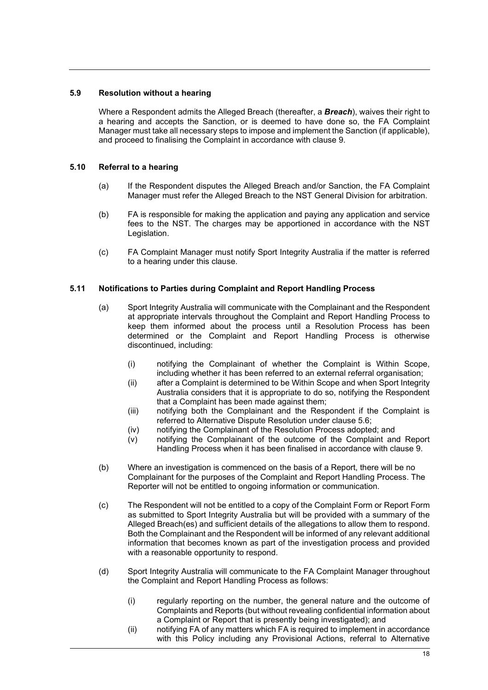#### **5.9 Resolution without a hearing**

Where a Respondent admits the Alleged Breach (thereafter, a *Breach*), waives their right to a hearing and accepts the Sanction, or is deemed to have done so, the FA Complaint Manager must take all necessary steps to impose and implement the Sanction (if applicable), and proceed to finalising the Complaint in accordance with clause 9.

#### **5.10 Referral to a hearing**

- (a) If the Respondent disputes the Alleged Breach and/or Sanction, the FA Complaint Manager must refer the Alleged Breach to the NST General Division for arbitration.
- (b) FA is responsible for making the application and paying any application and service fees to the NST. The charges may be apportioned in accordance with the NST Legislation.
- (c) FA Complaint Manager must notify Sport Integrity Australia if the matter is referred to a hearing under this clause.

#### **5.11 Notifications to Parties during Complaint and Report Handling Process**

- (a) Sport Integrity Australia will communicate with the Complainant and the Respondent at appropriate intervals throughout the Complaint and Report Handling Process to keep them informed about the process until a Resolution Process has been determined or the Complaint and Report Handling Process is otherwise discontinued, including:
	- (i) notifying the Complainant of whether the Complaint is Within Scope, including whether it has been referred to an external referral organisation;
	- (ii) after a Complaint is determined to be Within Scope and when Sport Integrity Australia considers that it is appropriate to do so, notifying the Respondent that a Complaint has been made against them;
	- (iii) notifying both the Complainant and the Respondent if the Complaint is referred to Alternative Dispute Resolution under clause 5.6;
	- (iv) notifying the Complainant of the Resolution Process adopted; and
	- (v) notifying the Complainant of the outcome of the Complaint and Report Handling Process when it has been finalised in accordance with clause 9.
- (b) Where an investigation is commenced on the basis of a Report, there will be no Complainant for the purposes of the Complaint and Report Handling Process. The Reporter will not be entitled to ongoing information or communication.
- (c) The Respondent will not be entitled to a copy of the Complaint Form or Report Form as submitted to Sport Integrity Australia but will be provided with a summary of the Alleged Breach(es) and sufficient details of the allegations to allow them to respond. Both the Complainant and the Respondent will be informed of any relevant additional information that becomes known as part of the investigation process and provided with a reasonable opportunity to respond.
- (d) Sport Integrity Australia will communicate to the FA Complaint Manager throughout the Complaint and Report Handling Process as follows:
	- (i) regularly reporting on the number, the general nature and the outcome of Complaints and Reports (but without revealing confidential information about a Complaint or Report that is presently being investigated); and
	- (ii) notifying FA of any matters which FA is required to implement in accordance with this Policy including any Provisional Actions, referral to Alternative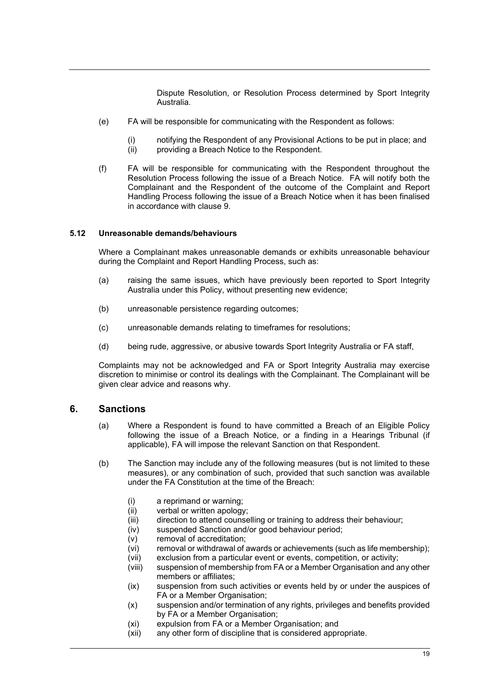Dispute Resolution, or Resolution Process determined by Sport Integrity Australia.

- (e) FA will be responsible for communicating with the Respondent as follows:
	- (i) notifying the Respondent of any Provisional Actions to be put in place; and  $(ii)$  providing a Breach Notice to the Respondent.
	- providing a Breach Notice to the Respondent.
- (f) FA will be responsible for communicating with the Respondent throughout the Resolution Process following the issue of a Breach Notice. FA will notify both the Complainant and the Respondent of the outcome of the Complaint and Report Handling Process following the issue of a Breach Notice when it has been finalised in accordance with clause 9.

#### **5.12 Unreasonable demands/behaviours**

Where a Complainant makes unreasonable demands or exhibits unreasonable behaviour during the Complaint and Report Handling Process, such as:

- (a) raising the same issues, which have previously been reported to Sport Integrity Australia under this Policy, without presenting new evidence;
- (b) unreasonable persistence regarding outcomes;
- (c) unreasonable demands relating to timeframes for resolutions;
- (d) being rude, aggressive, or abusive towards Sport Integrity Australia or FA staff,

Complaints may not be acknowledged and FA or Sport Integrity Australia may exercise discretion to minimise or control its dealings with the Complainant. The Complainant will be given clear advice and reasons why.

## **6. Sanctions**

- (a) Where a Respondent is found to have committed a Breach of an Eligible Policy following the issue of a Breach Notice, or a finding in a Hearings Tribunal (if applicable), FA will impose the relevant Sanction on that Respondent.
- (b) The Sanction may include any of the following measures (but is not limited to these measures), or any combination of such, provided that such sanction was available under the FA Constitution at the time of the Breach:
	- (i) a reprimand or warning;
	- (ii) verbal or written apology;
	- (iii) direction to attend counselling or training to address their behaviour;<br>(iv) suspended Sanction and/or good behaviour period:
	- suspended Sanction and/or good behaviour period;
	- (v) removal of accreditation;
	- (vi) removal or withdrawal of awards or achievements (such as life membership);
	- (vii) exclusion from a particular event or events, competition, or activity;
	- (viii) suspension of membership from FA or a Member Organisation and any other members or affiliates;
	- (ix) suspension from such activities or events held by or under the auspices of FA or a Member Organisation;
	- (x) suspension and/or termination of any rights, privileges and benefits provided by FA or a Member Organisation:
	- (xi) expulsion from FA or a Member Organisation; and<br>(xii) any other form of discipline that is considered appr
	- any other form of discipline that is considered appropriate.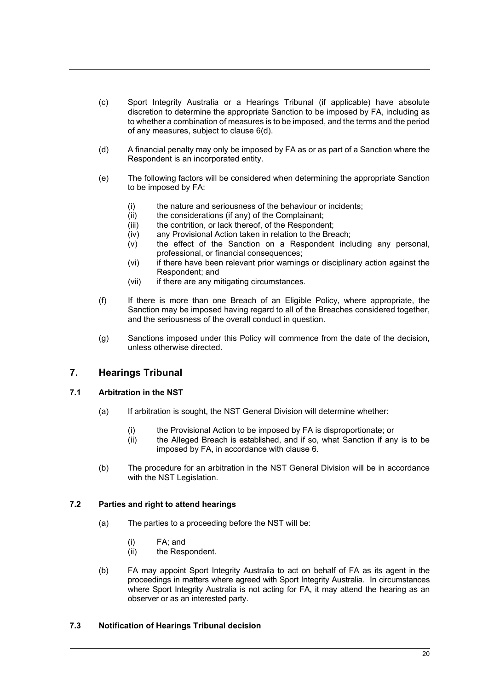- (c) Sport Integrity Australia or a Hearings Tribunal (if applicable) have absolute discretion to determine the appropriate Sanction to be imposed by FA, including as to whether a combination of measures is to be imposed, and the terms and the period of any measures, subject to clause 6(d).
- (d) A financial penalty may only be imposed by FA as or as part of a Sanction where the Respondent is an incorporated entity.
- (e) The following factors will be considered when determining the appropriate Sanction to be imposed by FA:
	- (i) the nature and seriousness of the behaviour or incidents;
	- (ii) the considerations (if any) of the Complainant;
	- (iii) the contrition, or lack thereof, of the Respondent;
	- (iv) any Provisional Action taken in relation to the Breach;
	- (v) the effect of the Sanction on a Respondent including any personal, professional, or financial consequences;
	- (vi) if there have been relevant prior warnings or disciplinary action against the Respondent; and
	- (vii) if there are any mitigating circumstances.
- (f) If there is more than one Breach of an Eligible Policy, where appropriate, the Sanction may be imposed having regard to all of the Breaches considered together, and the seriousness of the overall conduct in question.
- (g) Sanctions imposed under this Policy will commence from the date of the decision, unless otherwise directed.

## **7. Hearings Tribunal**

#### **7.1 Arbitration in the NST**

- (a) If arbitration is sought, the NST General Division will determine whether:
	- (i) the Provisional Action to be imposed by FA is disproportionate; or<br>(ii) the Alleged Breach is established, and if so, what Sanction if any
	- the Alleged Breach is established, and if so, what Sanction if any is to be imposed by FA, in accordance with clause 6.
- (b) The procedure for an arbitration in the NST General Division will be in accordance with the NST Legislation.

#### **7.2 Parties and right to attend hearings**

- (a) The parties to a proceeding before the NST will be:
	- (i) FA; and
	- (ii) the Respondent.
- (b) FA may appoint Sport Integrity Australia to act on behalf of FA as its agent in the proceedings in matters where agreed with Sport Integrity Australia. In circumstances where Sport Integrity Australia is not acting for FA, it may attend the hearing as an observer or as an interested party.

### **7.3 Notification of Hearings Tribunal decision**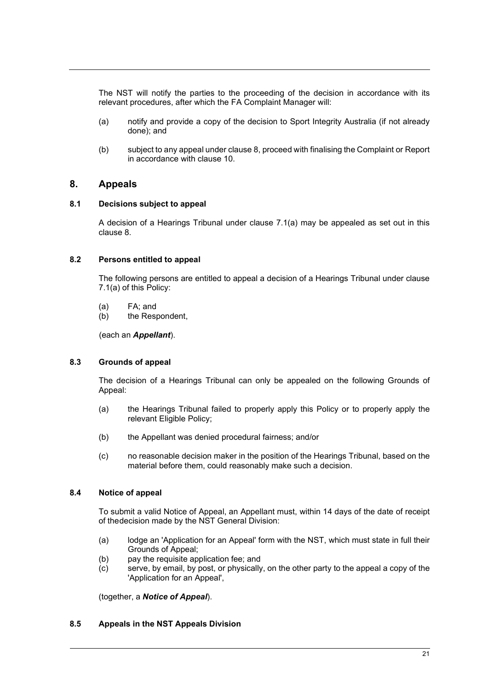The NST will notify the parties to the proceeding of the decision in accordance with its relevant procedures, after which the FA Complaint Manager will:

- (a) notify and provide a copy of the decision to Sport Integrity Australia (if not already done); and
- (b) subject to any appeal under clause 8, proceed with finalising the Complaint or Report in accordance with clause 10.

#### **8. Appeals**

#### **8.1 Decisions subject to appeal**

A decision of a Hearings Tribunal under clause 7.1(a) may be appealed as set out in this clause 8.

#### **8.2 Persons entitled to appeal**

The following persons are entitled to appeal a decision of a Hearings Tribunal under clause 7.1(a) of this Policy:

- (a) FA; and
- (b) the Respondent,

#### (each an *Appellant*).

#### **8.3 Grounds of appeal**

The decision of a Hearings Tribunal can only be appealed on the following Grounds of Appeal:

- (a) the Hearings Tribunal failed to properly apply this Policy or to properly apply the relevant Eligible Policy;
- (b) the Appellant was denied procedural fairness; and/or
- (c) no reasonable decision maker in the position of the Hearings Tribunal, based on the material before them, could reasonably make such a decision.

#### **8.4 Notice of appeal**

To submit a valid Notice of Appeal, an Appellant must, within 14 days of the date of receipt of thedecision made by the NST General Division:

- (a) lodge an 'Application for an Appeal' form with the NST, which must state in full their Grounds of Appeal;
- (b) pay the requisite application fee; and
- $(c)$  serve, by email, by post, or physically, on the other party to the appeal a copy of the 'Application for an Appeal',

(together, a *Notice of Appeal*).

## **8.5 Appeals in the NST Appeals Division**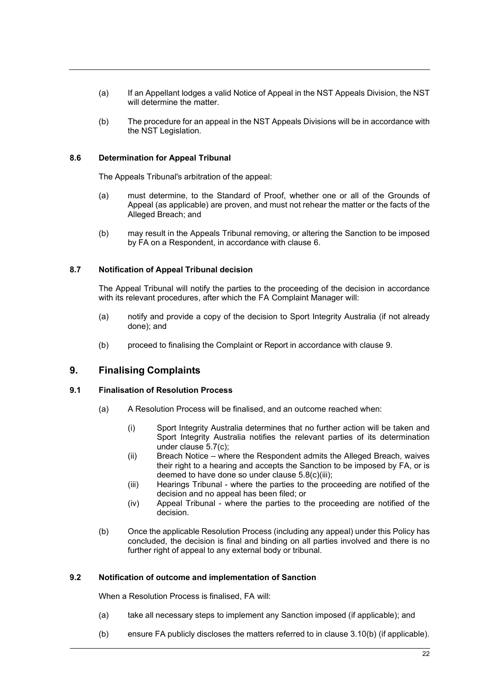- (a) If an Appellant lodges a valid Notice of Appeal in the NST Appeals Division, the NST will determine the matter.
- (b) The procedure for an appeal in the NST Appeals Divisions will be in accordance with the NST Legislation.

#### **8.6 Determination for Appeal Tribunal**

The Appeals Tribunal's arbitration of the appeal:

- (a) must determine, to the Standard of Proof, whether one or all of the Grounds of Appeal (as applicable) are proven, and must not rehear the matter or the facts of the Alleged Breach; and
- (b) may result in the Appeals Tribunal removing, or altering the Sanction to be imposed by FA on a Respondent, in accordance with clause 6.

#### **8.7 Notification of Appeal Tribunal decision**

The Appeal Tribunal will notify the parties to the proceeding of the decision in accordance with its relevant procedures, after which the FA Complaint Manager will:

- (a) notify and provide a copy of the decision to Sport Integrity Australia (if not already done); and
- (b) proceed to finalising the Complaint or Report in accordance with clause 9.

## **9. Finalising Complaints**

## **9.1 Finalisation of Resolution Process**

- (a) A Resolution Process will be finalised, and an outcome reached when:
	- (i) Sport Integrity Australia determines that no further action will be taken and Sport Integrity Australia notifies the relevant parties of its determination under clause 5.7(c);
	- (ii) Breach Notice where the Respondent admits the Alleged Breach, waives their right to a hearing and accepts the Sanction to be imposed by FA, or is deemed to have done so under clause 5.8(c)(iii);
	- (iii) Hearings Tribunal where the parties to the proceeding are notified of the decision and no appeal has been filed; or
	- (iv) Appeal Tribunal where the parties to the proceeding are notified of the decision.
- (b) Once the applicable Resolution Process (including any appeal) under this Policy has concluded, the decision is final and binding on all parties involved and there is no further right of appeal to any external body or tribunal.

#### **9.2 Notification of outcome and implementation of Sanction**

When a Resolution Process is finalised, FA will:

- (a) take all necessary steps to implement any Sanction imposed (if applicable); and
- (b) ensure FA publicly discloses the matters referred to in clause 3.10(b) (if applicable).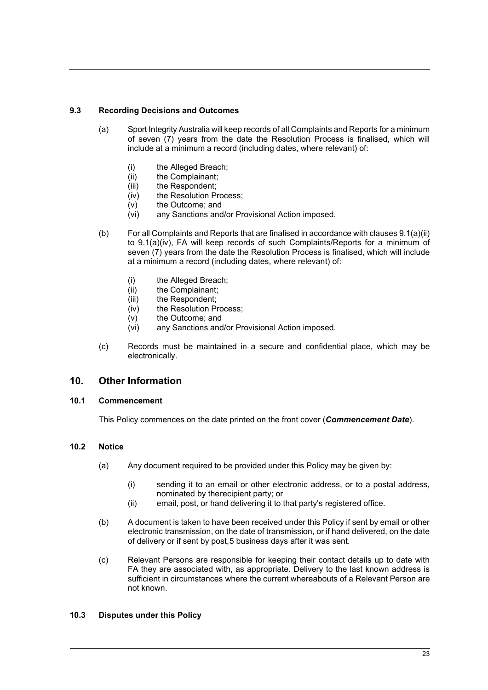## **9.3 Recording Decisions and Outcomes**

- (a) Sport Integrity Australia will keep records of all Complaints and Reports for a minimum of seven (7) years from the date the Resolution Process is finalised, which will include at a minimum a record (including dates, where relevant) of:
	- (i) the Alleged Breach;
	- (ii) the Complainant;
	- (iii) the Respondent:
	- $(iv)$  the Resolution Process;<br> $(v)$  the Outcome: and
	- the Outcome: and
	- (vi) any Sanctions and/or Provisional Action imposed.
- (b) For all Complaints and Reports that are finalised in accordance with clauses 9.1(a)(ii) to 9.1(a)(iv), FA will keep records of such Complaints/Reports for a minimum of seven (7) years from the date the Resolution Process is finalised, which will include at a minimum a record (including dates, where relevant) of:
	- (i) the Alleged Breach;
	- (ii) the Complainant;
	- (iii) the Respondent;
	- $(iv)$  the Resolution Process;<br> $(v)$  the Outcome; and
	- the Outcome: and
	- (vi) any Sanctions and/or Provisional Action imposed.
- (c) Records must be maintained in a secure and confidential place, which may be electronically.

#### **10. Other Information**

#### **10.1 Commencement**

This Policy commences on the date printed on the front cover (*Commencement Date*).

#### **10.2 Notice**

- (a) Any document required to be provided under this Policy may be given by:
	- (i) sending it to an email or other electronic address, or to a postal address, nominated by therecipient party; or
	- (ii) email, post, or hand delivering it to that party's registered office.
- (b) A document is taken to have been received under this Policy if sent by email or other electronic transmission, on the date of transmission, or if hand delivered, on the date of delivery or if sent by post,5 business days after it was sent.
- (c) Relevant Persons are responsible for keeping their contact details up to date with FA they are associated with, as appropriate. Delivery to the last known address is sufficient in circumstances where the current whereabouts of a Relevant Person are not known.

#### **10.3 Disputes under this Policy**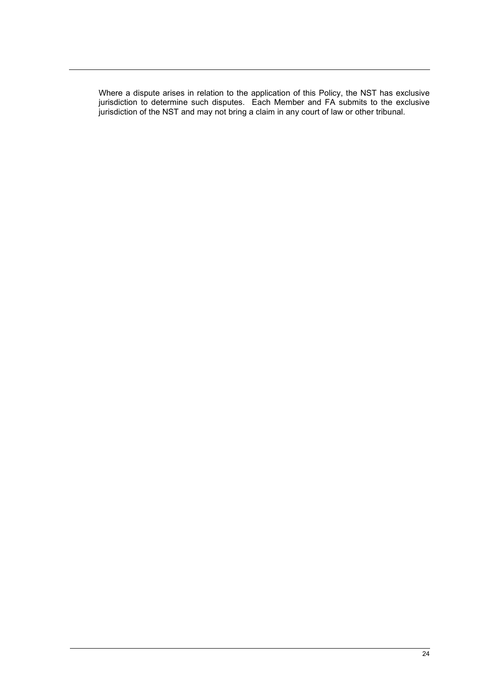Where a dispute arises in relation to the application of this Policy, the NST has exclusive jurisdiction to determine such disputes. Each Member and FA submits to the exclusive jurisdiction of the NST and may not bring a claim in any court of law or other tribunal.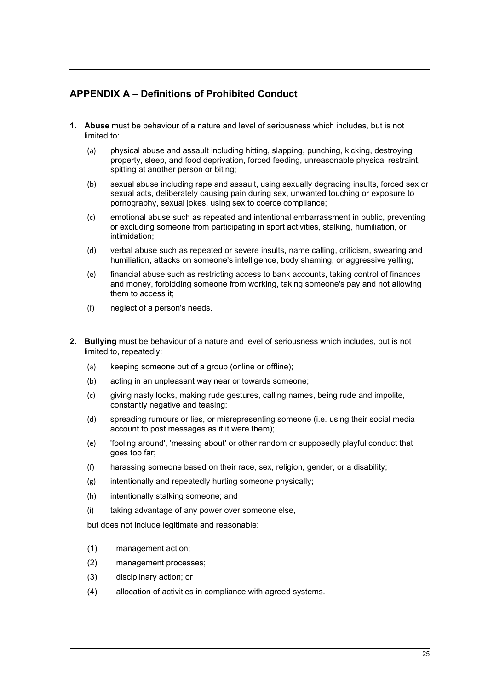## **APPENDIX A – Definitions of Prohibited Conduct**

- **1. Abuse** must be behaviour of a nature and level of seriousness which includes, but is not limited to:
	- (a) physical abuse and assault including hitting, slapping, punching, kicking, destroying property, sleep, and food deprivation, forced feeding, unreasonable physical restraint, spitting at another person or biting;
	- (b) sexual abuse including rape and assault, using sexually degrading insults, forced sex or sexual acts, deliberately causing pain during sex, unwanted touching or exposure to pornography, sexual jokes, using sex to coerce compliance;
	- (c) emotional abuse such as repeated and intentional embarrassment in public, preventing or excluding someone from participating in sport activities, stalking, humiliation, or intimidation;
	- (d) verbal abuse such as repeated or severe insults, name calling, criticism, swearing and humiliation, attacks on someone's intelligence, body shaming, or aggressive yelling;
	- (e) financial abuse such as restricting access to bank accounts, taking control of finances and money, forbidding someone from working, taking someone's pay and not allowing them to access it;
	- (f) neglect of a person's needs.
- **2. Bullying** must be behaviour of a nature and level of seriousness which includes, but is not limited to, repeatedly:
	- (a) keeping someone out of a group (online or offline);
	- (b) acting in an unpleasant way near or towards someone;
	- (c) giving nasty looks, making rude gestures, calling names, being rude and impolite, constantly negative and teasing;
	- (d) spreading rumours or lies, or misrepresenting someone (i.e. using their social media account to post messages as if it were them);
	- (e) 'fooling around', 'messing about' or other random or supposedly playful conduct that goes too far;
	- (f) harassing someone based on their race, sex, religion, gender, or a disability;
	- (g) intentionally and repeatedly hurting someone physically;
	- (h) intentionally stalking someone; and
	- (i) taking advantage of any power over someone else,
	- but does not include legitimate and reasonable:
	- (1) management action;
	- (2) management processes;
	- (3) disciplinary action; or
	- (4) allocation of activities in compliance with agreed systems.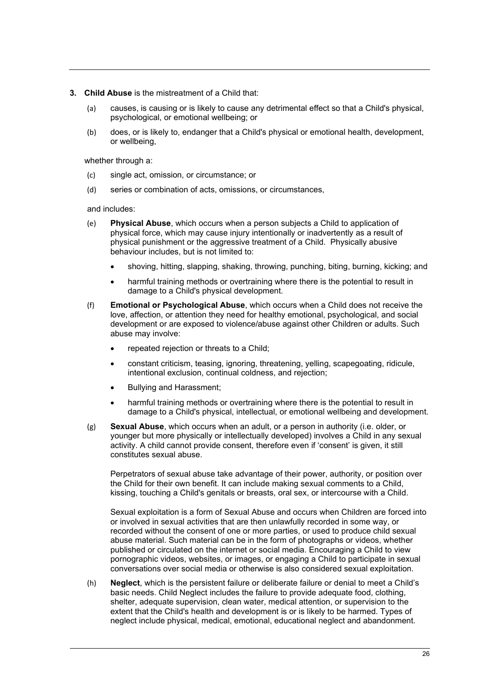- **3. Child Abuse** is the mistreatment of a Child that:
	- (a) causes, is causing or is likely to cause any detrimental effect so that a Child's physical, psychological, or emotional wellbeing; or
	- (b) does, or is likely to, endanger that a Child's physical or emotional health, development, or wellbeing,

whether through a:

- (c) single act, omission, or circumstance; or
- (d) series or combination of acts, omissions, or circumstances,

and includes:

- (e) **Physical Abuse**, which occurs when a person subjects a Child to application of physical force, which may cause injury intentionally or inadvertently as a result of physical punishment or the aggressive treatment of a Child. Physically abusive behaviour includes, but is not limited to:
	- shoving, hitting, slapping, shaking, throwing, punching, biting, burning, kicking; and
	- harmful training methods or overtraining where there is the potential to result in damage to a Child's physical development.
- (f) **Emotional or Psychological Abuse**, which occurs when a Child does not receive the love, affection, or attention they need for healthy emotional, psychological, and social development or are exposed to violence/abuse against other Children or adults. Such abuse may involve:
	- repeated rejection or threats to a Child;
	- constant criticism, teasing, ignoring, threatening, yelling, scapegoating, ridicule, intentional exclusion, continual coldness, and rejection;
	- Bullying and Harassment;
	- harmful training methods or overtraining where there is the potential to result in damage to a Child's physical, intellectual, or emotional wellbeing and development.
- (g) **Sexual Abuse**, which occurs when an adult, or a person in authority (i.e. older, or younger but more physically or intellectually developed) involves a Child in any sexual activity. A child cannot provide consent, therefore even if 'consent' is given, it still constitutes sexual abuse.

Perpetrators of sexual abuse take advantage of their power, authority, or position over the Child for their own benefit. It can include making sexual comments to a Child, kissing, touching a Child's genitals or breasts, oral sex, or intercourse with a Child.

Sexual exploitation is a form of Sexual Abuse and occurs when Children are forced into or involved in sexual activities that are then unlawfully recorded in some way, or recorded without the consent of one or more parties, or used to produce child sexual abuse material. Such material can be in the form of photographs or videos, whether published or circulated on the internet or social media. Encouraging a Child to view pornographic videos, websites, or images, or engaging a Child to participate in sexual conversations over social media or otherwise is also considered sexual exploitation.

(h) **Neglect**, which is the persistent failure or deliberate failure or denial to meet a Child's basic needs. Child Neglect includes the failure to provide adequate food, clothing, shelter, adequate supervision, clean water, medical attention, or supervision to the extent that the Child's health and development is or is likely to be harmed. Types of neglect include physical, medical, emotional, educational neglect and abandonment.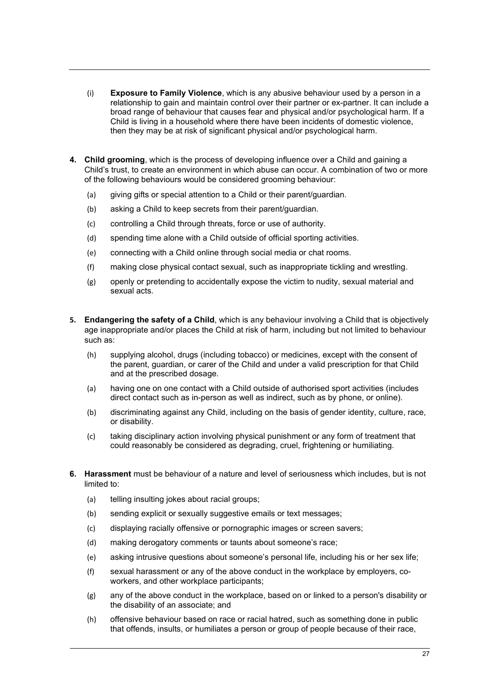- (i) **Exposure to Family Violence**, which is any abusive behaviour used by a person in a relationship to gain and maintain control over their partner or ex-partner. It can include a broad range of behaviour that causes fear and physical and/or psychological harm. If a Child is living in a household where there have been incidents of domestic violence, then they may be at risk of significant physical and/or psychological harm.
- **4. Child grooming**, which is the process of developing influence over a Child and gaining a Child's trust, to create an environment in which abuse can occur. A combination of two or more of the following behaviours would be considered grooming behaviour:
	- (a) giving gifts or special attention to a Child or their parent/guardian.
	- (b) asking a Child to keep secrets from their parent/guardian.
	- (c) controlling a Child through threats, force or use of authority.
	- (d) spending time alone with a Child outside of official sporting activities.
	- (e) connecting with a Child online through social media or chat rooms.
	- (f) making close physical contact sexual, such as inappropriate tickling and wrestling.
	- (g) openly or pretending to accidentally expose the victim to nudity, sexual material and sexual acts.
- **5. Endangering the safety of a Child**, which is any behaviour involving a Child that is objectively age inappropriate and/or places the Child at risk of harm, including but not limited to behaviour such as:
	- (h) supplying alcohol, drugs (including tobacco) or medicines, except with the consent of the parent, guardian, or carer of the Child and under a valid prescription for that Child and at the prescribed dosage.
	- (a) having one on one contact with a Child outside of authorised sport activities (includes direct contact such as in-person as well as indirect, such as by phone, or online).
	- (b) discriminating against any Child, including on the basis of gender identity, culture, race, or disability.
	- (c) taking disciplinary action involving physical punishment or any form of treatment that could reasonably be considered as degrading, cruel, frightening or humiliating.
- **6. Harassment** must be behaviour of a nature and level of seriousness which includes, but is not limited to:
	- (a) telling insulting jokes about racial groups;
	- (b) sending explicit or sexually suggestive emails or text messages;
	- (c) displaying racially offensive or pornographic images or screen savers;
	- (d) making derogatory comments or taunts about someone's race;
	- (e) asking intrusive questions about someone's personal life, including his or her sex life;
	- (f) sexual harassment or any of the above conduct in the workplace by employers, coworkers, and other workplace participants;
	- (g) any of the above conduct in the workplace, based on or linked to a person's disability or the disability of an associate; and
	- (h) offensive behaviour based on race or racial hatred, such as something done in public that offends, insults, or humiliates a person or group of people because of their race,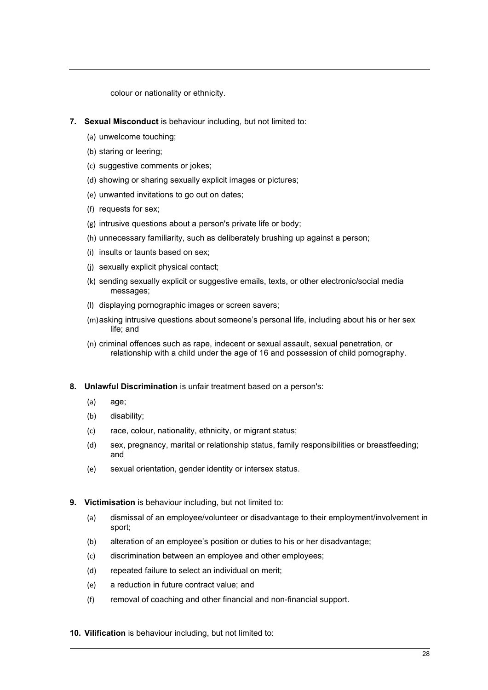colour or nationality or ethnicity.

- **7. Sexual Misconduct** is behaviour including, but not limited to:
	- (a) unwelcome touching;
	- (b) staring or leering;
	- (c) suggestive comments or jokes;
	- (d) showing or sharing sexually explicit images or pictures;
	- (e) unwanted invitations to go out on dates;
	- (f) requests for sex;
	- (g) intrusive questions about a person's private life or body;
	- (h) unnecessary familiarity, such as deliberately brushing up against a person;
	- (i) insults or taunts based on sex;
	- (j) sexually explicit physical contact;
	- (k) sending sexually explicit or suggestive emails, texts, or other electronic/social media messages;
	- (l) displaying pornographic images or screen savers;
	- (m)asking intrusive questions about someone's personal life, including about his or her sex life; and
	- (n) criminal offences such as rape, indecent or sexual assault, sexual penetration, or relationship with a child under the age of 16 and possession of child pornography.
- **8. Unlawful Discrimination** is unfair treatment based on a person's:
	- (a) age;
	- (b) disability;
	- (c) race, colour, nationality, ethnicity, or migrant status;
	- (d) sex, pregnancy, marital or relationship status, family responsibilities or breastfeeding; and
	- (e) sexual orientation, gender identity or intersex status.
- **9. Victimisation** is behaviour including, but not limited to:
	- (a) dismissal of an employee/volunteer or disadvantage to their employment/involvement in sport;
	- (b) alteration of an employee's position or duties to his or her disadvantage;
	- (c) discrimination between an employee and other employees;
	- (d) repeated failure to select an individual on merit;
	- (e) a reduction in future contract value; and
	- (f) removal of coaching and other financial and non-financial support.
- **10. Vilification** is behaviour including, but not limited to: